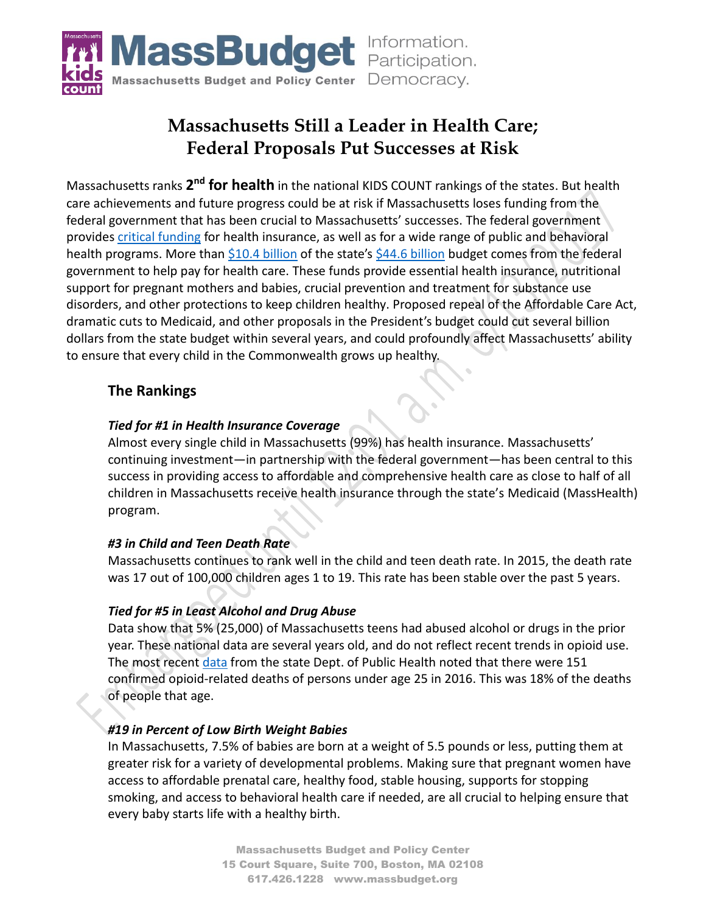

# **Massachusetts Still a Leader in Health Care; Federal Proposals Put Successes at Risk**

Massachusetts ranks 2<sup>nd</sup> for health in the national KIDS COUNT rankings of the states. But health care achievements and future progress could be at risk if Massachusetts loses funding from the federal government that has been crucial to Massachusetts' successes. The federal government provides [critical funding](http://massbudget.org/report_window.php?loc=What-Is-the-Actual-State-Cost-of-MassHealth-in-2018.html) for health insurance, as well as for a wide range of public and behavioral health programs. More than \$10.4 [billion](http://browser.massbudget.org/) of the state's \$44.6 billion budget comes from the federal government to help pay for health care. These funds provide essential health insurance, nutritional support for pregnant mothers and babies, crucial prevention and treatment for substance use disorders, and other protections to keep children healthy. Proposed repeal of the Affordable Care Act, dramatic cuts to Medicaid, and other proposals in the President's budget could cut several billion dollars from the state budget within several years, and could profoundly affect Massachusetts' ability to ensure that every child in the Commonwealth grows up healthy.

## **The Rankings**

### *Tied for #1 in Health Insurance Coverage*

Almost every single child in Massachusetts (99%) has health insurance. Massachusetts' continuing investment—in partnership with the federal government—has been central to this success in providing access to affordable and comprehensive health care as close to half of all children in Massachusetts receive health insurance through the state's Medicaid (MassHealth) program.

### *#3 in Child and Teen Death Rate*

Massachusetts continues to rank well in the child and teen death rate. In 2015, the death rate was 17 out of 100,000 children ages 1 to 19. This rate has been stable over the past 5 years.

### *Tied for #5 in Least Alcohol and Drug Abuse*

Data show that 5% (25,000) of Massachusetts teens had abused alcohol or drugs in the prior year. These national data are several years old, and do not reflect recent trends in opioid use. The most recen[t data](http://www.mass.gov/eohhs/docs/dph/stop-addiction/current-statistics/opioid-demographic-may-2017.pdf) from the state Dept. of Public Health noted that there were 151 confirmed opioid-related deaths of persons under age 25 in 2016. This was 18% of the deaths of people that age.

### *#19 in Percent of Low Birth Weight Babies*

In Massachusetts, 7.5% of babies are born at a weight of 5.5 pounds or less, putting them at greater risk for a variety of developmental problems. Making sure that pregnant women have access to affordable prenatal care, healthy food, stable housing, supports for stopping smoking, and access to behavioral health care if needed, are all crucial to helping ensure that every baby starts life with a healthy birth.